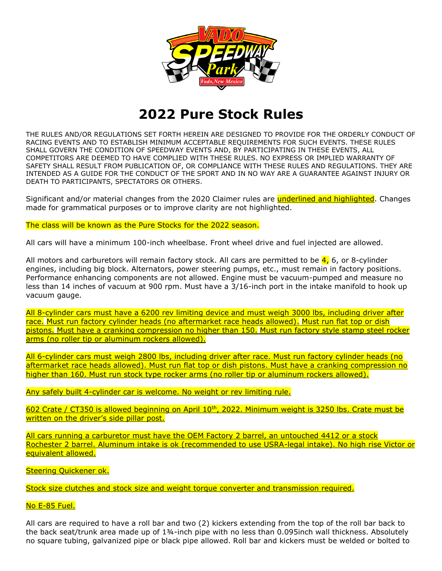

## **2022 Pure Stock Rules**

THE RULES AND/OR REGULATIONS SET FORTH HEREIN ARE DESIGNED TO PROVIDE FOR THE ORDERLY CONDUCT OF RACING EVENTS AND TO ESTABLISH MINIMUM ACCEPTABLE REQUIREMENTS FOR SUCH EVENTS. THESE RULES SHALL GOVERN THE CONDITION OF SPEEDWAY EVENTS AND, BY PARTICIPATING IN THESE EVENTS, ALL COMPETITORS ARE DEEMED TO HAVE COMPLIED WITH THESE RULES. NO EXPRESS OR IMPLIED WARRANTY OF SAFETY SHALL RESULT FROM PUBLICATION OF, OR COMPLIANCE WITH THESE RULES AND REGULATIONS. THEY ARE INTENDED AS A GUIDE FOR THE CONDUCT OF THE SPORT AND IN NO WAY ARE A GUARANTEE AGAINST INJURY OR DEATH TO PARTICIPANTS, SPECTATORS OR OTHERS.

Significant and/or material changes from the 2020 Claimer rules are **underlined and highlighted**. Changes made for grammatical purposes or to improve clarity are not highlighted.

The class will be known as the Pure Stocks for the 2022 season.

All cars will have a minimum 100-inch wheelbase. Front wheel drive and fuel injected are allowed.

All motors and carburetors will remain factory stock. All cars are permitted to be  $\frac{4}{16}$ , 6, or 8-cylinder engines, including big block. Alternators, power steering pumps, etc., must remain in factory positions. Performance enhancing components are not allowed. Engine must be vacuum-pumped and measure no less than 14 inches of vacuum at 900 rpm. Must have a 3/16-inch port in the intake manifold to hook up vacuum gauge.

All 8-cylinder cars must have a 6200 rev limiting device and must weigh 3000 lbs, including driver after race. Must run factory cylinder heads (no aftermarket race heads allowed). Must run flat top or dish pistons. Must have a cranking compression no higher than 150. Must run factory style stamp steel rocker arms (no roller tip or aluminum rockers allowed).

All 6-cylinder cars must weigh 2800 lbs, including driver after race. Must run factory cylinder heads (no aftermarket race heads allowed). Must run flat top or dish pistons. Must have a cranking compression no higher than 160. Must run stock type rocker arms (no roller tip or aluminum rockers allowed).

Any safely built 4-cylinder car is welcome. No weight or rev limiting rule.

602 Crate / CT350 is allowed beginning on April 10<sup>th</sup>, 2022. Minimum weight is 3250 lbs. Crate must be written on the driver's side pillar post.

All cars running a carburetor must have the OEM Factory 2 barrel, an untouched 4412 or a stock Rochester 2 barrel. Aluminum intake is ok (recommended to use USRA-legal intake). No high rise Victor or equivalent allowed.

Steering Quickener ok.

Stock size clutches and stock size and weight torque converter and transmission required.

No E-85 Fuel.

All cars are required to have a roll bar and two (2) kickers extending from the top of the roll bar back to the back seat/trunk area made up of 134-inch pipe with no less than 0.095inch wall thickness. Absolutely no square tubing, galvanized pipe or black pipe allowed. Roll bar and kickers must be welded or bolted to